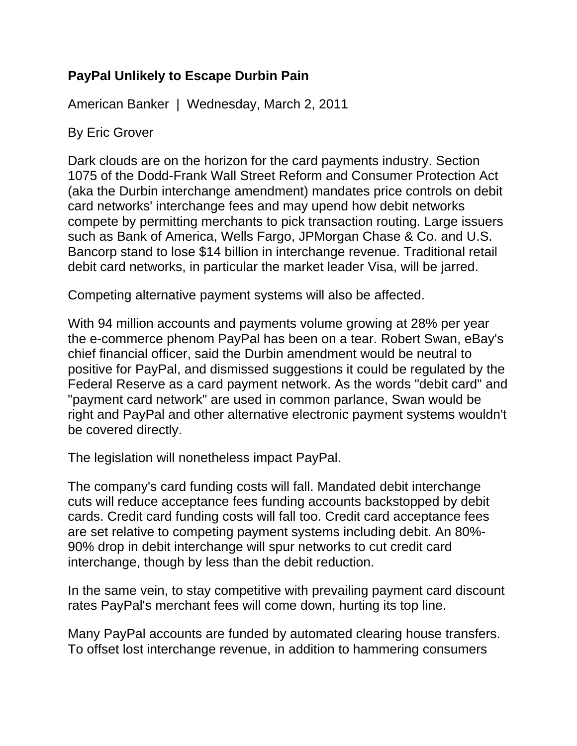## **PayPal Unlikely to Escape Durbin Pain**

American Banker | Wednesday, March 2, 2011

By Eric Grover

Dark clouds are on the horizon for the card payments industry. Section 1075 of the Dodd-Frank Wall Street Reform and Consumer Protection Act (aka the Durbin interchange amendment) mandates price controls on debit card networks' interchange fees and may upend how debit networks compete by permitting merchants to pick transaction routing. Large issuers such as Bank of America, Wells Fargo, JPMorgan Chase & Co. and U.S. Bancorp stand to lose \$14 billion in interchange revenue. Traditional retail debit card networks, in particular the market leader Visa, will be jarred.

Competing alternative payment systems will also be affected.

With 94 million accounts and payments volume growing at 28% per year the e-commerce phenom PayPal has been on a tear. Robert Swan, eBay's chief financial officer, said the Durbin amendment would be neutral to positive for PayPal, and dismissed suggestions it could be regulated by the Federal Reserve as a card payment network. As the words "debit card" and "payment card network" are used in common parlance, Swan would be right and PayPal and other alternative electronic payment systems wouldn't be covered directly.

The legislation will nonetheless impact PayPal.

The company's card funding costs will fall. Mandated debit interchange cuts will reduce acceptance fees funding accounts backstopped by debit cards. Credit card funding costs will fall too. Credit card acceptance fees are set relative to competing payment systems including debit. An 80%- 90% drop in debit interchange will spur networks to cut credit card interchange, though by less than the debit reduction.

In the same vein, to stay competitive with prevailing payment card discount rates PayPal's merchant fees will come down, hurting its top line.

Many PayPal accounts are funded by automated clearing house transfers. To offset lost interchange revenue, in addition to hammering consumers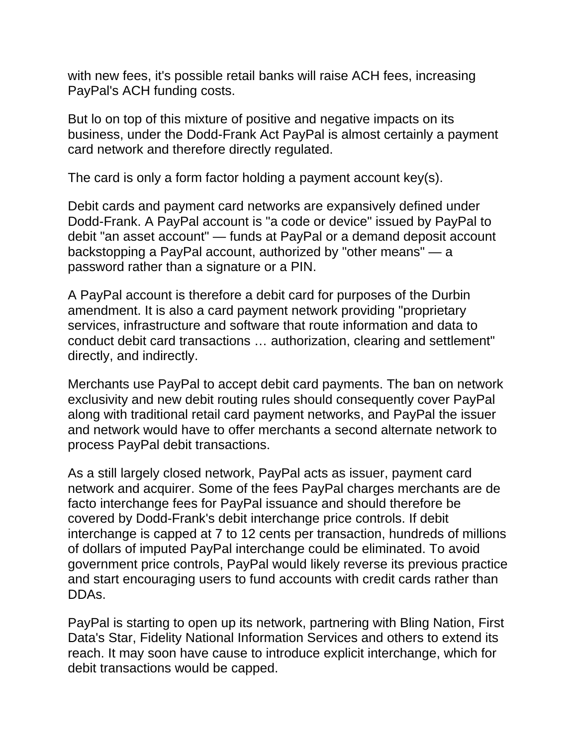with new fees, it's possible retail banks will raise ACH fees, increasing PayPal's ACH funding costs.

But lo on top of this mixture of positive and negative impacts on its business, under the Dodd-Frank Act PayPal is almost certainly a payment card network and therefore directly regulated.

The card is only a form factor holding a payment account key(s).

Debit cards and payment card networks are expansively defined under Dodd-Frank. A PayPal account is "a code or device" issued by PayPal to debit "an asset account" — funds at PayPal or a demand deposit account backstopping a PayPal account, authorized by "other means" — a password rather than a signature or a PIN.

A PayPal account is therefore a debit card for purposes of the Durbin amendment. It is also a card payment network providing "proprietary services, infrastructure and software that route information and data to conduct debit card transactions … authorization, clearing and settlement" directly, and indirectly.

Merchants use PayPal to accept debit card payments. The ban on network exclusivity and new debit routing rules should consequently cover PayPal along with traditional retail card payment networks, and PayPal the issuer and network would have to offer merchants a second alternate network to process PayPal debit transactions.

As a still largely closed network, PayPal acts as issuer, payment card network and acquirer. Some of the fees PayPal charges merchants are de facto interchange fees for PayPal issuance and should therefore be covered by Dodd-Frank's debit interchange price controls. If debit interchange is capped at 7 to 12 cents per transaction, hundreds of millions of dollars of imputed PayPal interchange could be eliminated. To avoid government price controls, PayPal would likely reverse its previous practice and start encouraging users to fund accounts with credit cards rather than DDAs.

PayPal is starting to open up its network, partnering with Bling Nation, First Data's Star, Fidelity National Information Services and others to extend its reach. It may soon have cause to introduce explicit interchange, which for debit transactions would be capped.